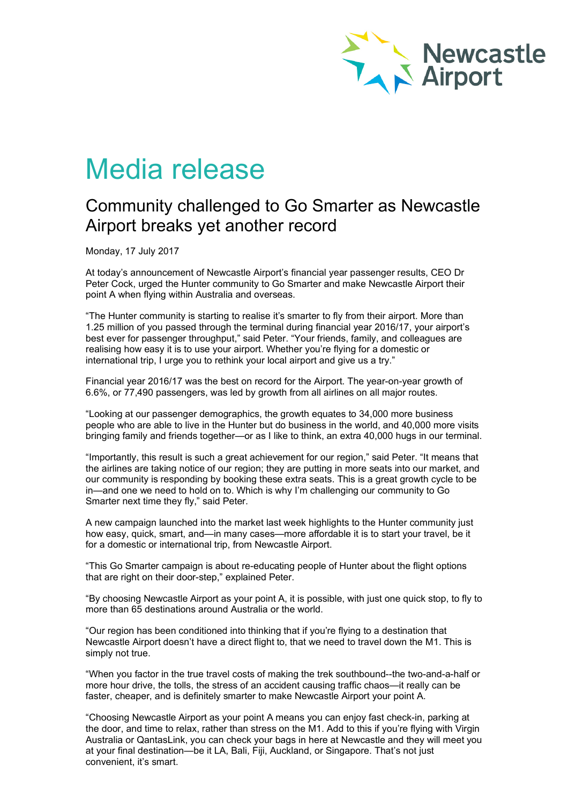

# Media release

## Community challenged to Go Smarter as Newcastle Airport breaks yet another record

Monday, 17 July 2017

At today's announcement of Newcastle Airport's financial year passenger results, CEO Dr Peter Cock, urged the Hunter community to Go Smarter and make Newcastle Airport their point A when flying within Australia and overseas.

"The Hunter community is starting to realise it's smarter to fly from their airport. More than 1.25 million of you passed through the terminal during financial year 2016/17, your airport's best ever for passenger throughput," said Peter. "Your friends, family, and colleagues are realising how easy it is to use your airport. Whether you're flying for a domestic or international trip, I urge you to rethink your local airport and give us a try."

Financial year 2016/17 was the best on record for the Airport. The year-on-year growth of 6.6%, or 77,490 passengers, was led by growth from all airlines on all major routes.

"Looking at our passenger demographics, the growth equates to 34,000 more business people who are able to live in the Hunter but do business in the world, and 40,000 more visits bringing family and friends together—or as I like to think, an extra 40,000 hugs in our terminal.

"Importantly, this result is such a great achievement for our region," said Peter. "It means that the airlines are taking notice of our region; they are putting in more seats into our market, and our community is responding by booking these extra seats. This is a great growth cycle to be in—and one we need to hold on to. Which is why I'm challenging our community to Go Smarter next time they fly," said Peter.

A new campaign launched into the market last week highlights to the Hunter community just how easy, quick, smart, and—in many cases—more affordable it is to start your travel, be it for a domestic or international trip, from Newcastle Airport.

"This Go Smarter campaign is about re-educating people of Hunter about the flight options that are right on their door-step," explained Peter.

"By choosing Newcastle Airport as your point A, it is possible, with just one quick stop, to fly to more than 65 destinations around Australia or the world.

"Our region has been conditioned into thinking that if you're flying to a destination that Newcastle Airport doesn't have a direct flight to, that we need to travel down the M1. This is simply not true.

"When you factor in the true travel costs of making the trek southbound--the two-and-a-half or more hour drive, the tolls, the stress of an accident causing traffic chaos—it really can be faster, cheaper, and is definitely smarter to make Newcastle Airport your point A.

"Choosing Newcastle Airport as your point A means you can enjoy fast check-in, parking at the door, and time to relax, rather than stress on the M1. Add to this if you're flying with Virgin Australia or QantasLink, you can check your bags in here at Newcastle and they will meet you at your final destination—be it LA, Bali, Fiji, Auckland, or Singapore. That's not just convenient, it's smart.